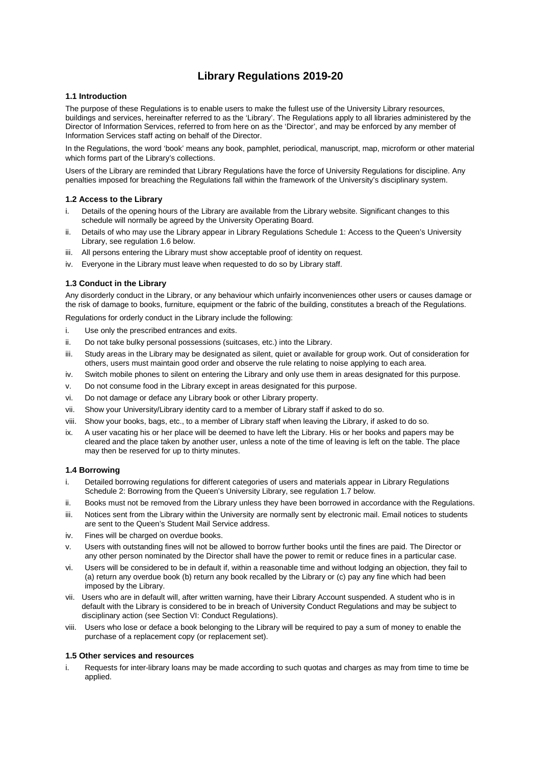# **Library Regulations 2019-20**

## **1.1 Introduction**

The purpose of these Regulations is to enable users to make the fullest use of the University Library resources, buildings and services, hereinafter referred to as the 'Library'. The Regulations apply to all libraries administered by the Director of Information Services, referred to from here on as the 'Director', and may be enforced by any member of Information Services staff acting on behalf of the Director.

In the Regulations, the word 'book' means any book, pamphlet, periodical, manuscript, map, microform or other material which forms part of the Library's collections.

Users of the Library are reminded that Library Regulations have the force of University Regulations for discipline. Any penalties imposed for breaching the Regulations fall within the framework of the University's disciplinary system.

### **1.2 Access to the Library**

- i. Details of the opening hours of the Library are available from the Library website. Significant changes to this schedule will normally be agreed by the University Operating Board.
- ii. Details of who may use the Library appear in Library Regulations Schedule 1: Access to the Queen's University Library, see regulation 1.6 below.
- iii. All persons entering the Library must show acceptable proof of identity on request.
- iv. Everyone in the Library must leave when requested to do so by Library staff.

## **1.3 Conduct in the Library**

Any disorderly conduct in the Library, or any behaviour which unfairly inconveniences other users or causes damage or the risk of damage to books, furniture, equipment or the fabric of the building, constitutes a breach of the Regulations.

Regulations for orderly conduct in the Library include the following:

- i. Use only the prescribed entrances and exits.
- ii. Do not take bulky personal possessions (suitcases, etc.) into the Library.
- iii. Study areas in the Library may be designated as silent, quiet or available for group work. Out of consideration for others, users must maintain good order and observe the rule relating to noise applying to each area.
- iv. Switch mobile phones to silent on entering the Library and only use them in areas designated for this purpose.
- v. Do not consume food in the Library except in areas designated for this purpose.
- vi. Do not damage or deface any Library book or other Library property.
- vii. Show your University/Library identity card to a member of Library staff if asked to do so.
- viii. Show your books, bags, etc., to a member of Library staff when leaving the Library, if asked to do so.
- ix. A user vacating his or her place will be deemed to have left the Library. His or her books and papers may be cleared and the place taken by another user, unless a note of the time of leaving is left on the table. The place may then be reserved for up to thirty minutes.

## **1.4 Borrowing**

- i. Detailed borrowing regulations for different categories of users and materials appear in Library Regulations Schedule 2: Borrowing from the Queen's University Library, see regulation 1.7 below.
- ii. Books must not be removed from the Library unless they have been borrowed in accordance with the Regulations.
- iii. Notices sent from the Library within the University are normally sent by electronic mail. Email notices to students are sent to the Queen's Student Mail Service address.
- iv. Fines will be charged on overdue books.
- v. Users with outstanding fines will not be allowed to borrow further books until the fines are paid. The Director or any other person nominated by the Director shall have the power to remit or reduce fines in a particular case.
- vi. Users will be considered to be in default if, within a reasonable time and without lodging an objection, they fail to (a) return any overdue book (b) return any book recalled by the Library or (c) pay any fine which had been imposed by the Library.
- vii. Users who are in default will, after written warning, have their Library Account suspended. A student who is in default with the Library is considered to be in breach of University Conduct Regulations and may be subject to disciplinary action (see Section VI: Conduct Regulations).
- viii. Users who lose or deface a book belonging to the Library will be required to pay a sum of money to enable the purchase of a replacement copy (or replacement set).

### **1.5 Other services and resources**

i. Requests for inter-library loans may be made according to such quotas and charges as may from time to time be applied.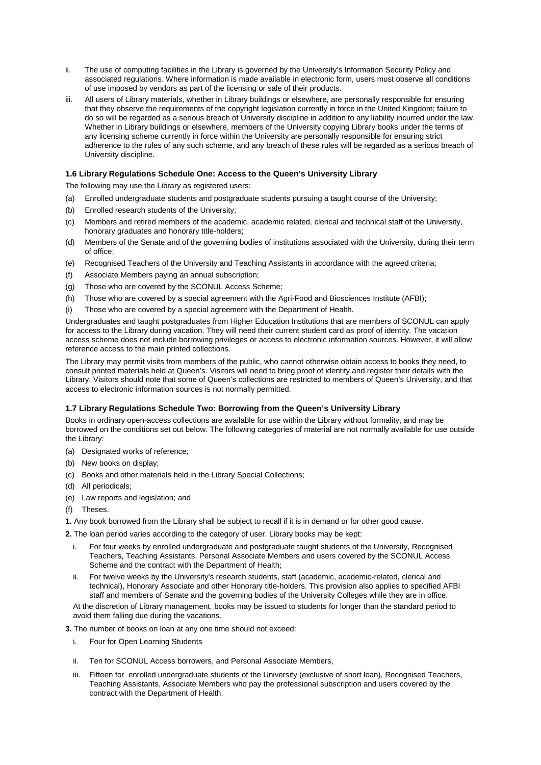- ii. The use of computing facilities in the Library is governed by the University's Information Security Policy and associated regulations. Where information is made available in electronic form, users must observe all conditions of use imposed by vendors as part of the licensing or sale of their products.
- iii. All users of Library materials, whether in Library buildings or elsewhere, are personally responsible for ensuring that they observe the requirements of the copyright legislation currently in force in the United Kingdom; failure to do so will be regarded as a serious breach of University discipline in addition to any liability incurred under the law. Whether in Library buildings or elsewhere, members of the University copying Library books under the terms of any licensing scheme currently in force within the University are personally responsible for ensuring strict adherence to the rules of any such scheme, and any breach of these rules will be regarded as a serious breach of University discipline.

## **1.6 Library Regulations Schedule One: Access to the Queen's University Library**

The following may use the Library as registered users:

- (a) Enrolled undergraduate students and postgraduate students pursuing a taught course of the University;
- (b) Enrolled research students of the University;
- (c) Members and retired members of the academic, academic related, clerical and technical staff of the University, honorary graduates and honorary title-holders;
- (d) Members of the Senate and of the governing bodies of institutions associated with the University, during their term of office;
- (e) Recognised Teachers of the University and Teaching Assistants in accordance with the agreed criteria;
- (f) Associate Members paying an annual subscription;
- (g) Those who are covered by the SCONUL Access Scheme;
- (h) Those who are covered by a special agreement with the Agri-Food and Biosciences Institute (AFBI);
- (i) Those who are covered by a special agreement with the Department of Health.

Undergraduates and taught postgraduates from Higher Education Institutions that are members of SCONUL can apply for access to the Library during vacation. They will need their current student card as proof of identity. The vacation access scheme does not include borrowing privileges or access to electronic information sources. However, it will allow reference access to the main printed collections.

The Library may permit visits from members of the public, who cannot otherwise obtain access to books they need, to consult printed materials held at Queen's. Visitors will need to bring proof of identity and register their details with the Library. Visitors should note that some of Queen's collections are restricted to members of Queen's University, and that access to electronic information sources is not normally permitted.

### **1.7 Library Regulations Schedule Two: Borrowing from the Queen's University Library**

Books in ordinary open-access collections are available for use within the Library without formality, and may be borrowed on the conditions set out below. The following categories of material are not normally available for use outside the Library:

- (a) Designated works of reference;
- (b) New books on display;
- (c) Books and other materials held in the Library Special Collections;
- (d) All periodicals;
- (e) Law reports and legislation; and
- (f) Theses.
- **1.** Any book borrowed from the Library shall be subject to recall if it is in demand or for other good cause.

**2.** The loan period varies according to the category of user. Library books may be kept:

- i. For four weeks by enrolled undergraduate and postgraduate taught students of the University, Recognised Teachers, Teaching Assistants, Personal Associate Members and users covered by the SCONUL Access Scheme and the contract with the Department of Health;
- ii. For twelve weeks by the University's research students, staff (academic, academic-related, clerical and technical), Honorary Associate and other Honorary title-holders. This provision also applies to specified AFBI staff and members of Senate and the governing bodies of the University Colleges while they are in office.

At the discretion of Library management, books may be issued to students for longer than the standard period to avoid them falling due during the vacations.

**3.** The number of books on loan at any one time should not exceed:

- i. Four for Open Learning Students
- ii. Ten for SCONUL Access borrowers, and Personal Associate Members,
- iii. Fifteen for enrolled undergraduate students of the University (exclusive of short loan), Recognised Teachers, Teaching Assistants, Associate Members who pay the professional subscription and users covered by the contract with the Department of Health,